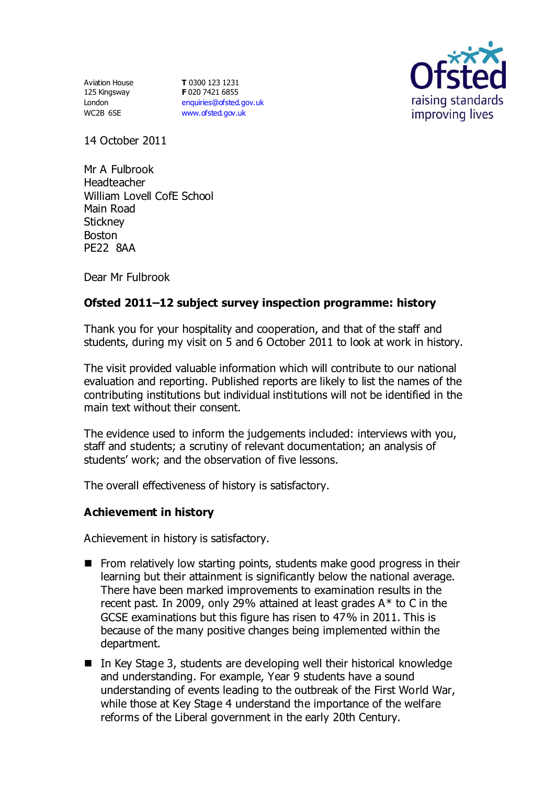Aviation House 125 Kingsway London WC2B 6SE

**T** 0300 123 1231 **F** 020 7421 6855 [enquiries@ofsted.gov.uk](mailto:enquiries@ofsted.gov.uk) [www.ofsted.gov.uk](http://www.ofsted.gov.uk/)



14 October 2011

Mr A Fulbrook Headteacher William Lovell CofE School Main Road **Stickney** Boston PE22 8AA

Dear Mr Fulbrook

# **Ofsted 2011–12 subject survey inspection programme: history**

Thank you for your hospitality and cooperation, and that of the staff and students, during my visit on 5 and 6 October 2011 to look at work in history.

The visit provided valuable information which will contribute to our national evaluation and reporting. Published reports are likely to list the names of the contributing institutions but individual institutions will not be identified in the main text without their consent.

The evidence used to inform the judgements included: interviews with you, staff and students; a scrutiny of relevant documentation; an analysis of students' work; and the observation of five lessons.

The overall effectiveness of history is satisfactory.

#### **Achievement in history**

Achievement in history is satisfactory.

- **From relatively low starting points, students make good progress in their** learning but their attainment is significantly below the national average. There have been marked improvements to examination results in the recent past. In 2009, only 29% attained at least grades A\* to C in the GCSE examinations but this figure has risen to 47% in 2011. This is because of the many positive changes being implemented within the department.
- In Key Stage 3, students are developing well their historical knowledge and understanding. For example, Year 9 students have a sound understanding of events leading to the outbreak of the First World War, while those at Key Stage 4 understand the importance of the welfare reforms of the Liberal government in the early 20th Century.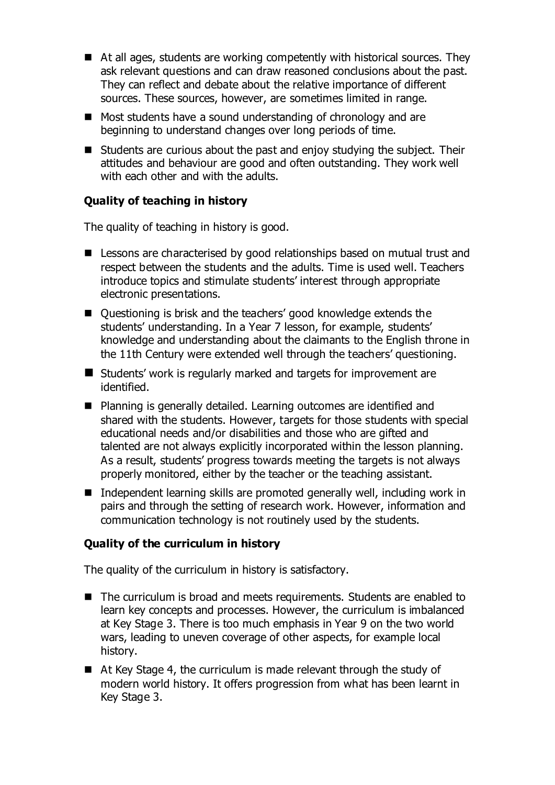- At all ages, students are working competently with historical sources. They ask relevant questions and can draw reasoned conclusions about the past. They can reflect and debate about the relative importance of different sources. These sources, however, are sometimes limited in range.
- Most students have a sound understanding of chronology and are beginning to understand changes over long periods of time.
- Students are curious about the past and enjoy studying the subject. Their attitudes and behaviour are good and often outstanding. They work well with each other and with the adults.

## **Quality of teaching in history**

The quality of teaching in history is good.

- Lessons are characterised by good relationships based on mutual trust and respect between the students and the adults. Time is used well. Teachers introduce topics and stimulate students' interest through appropriate electronic presentations.
- Ouestioning is brisk and the teachers' good knowledge extends the students' understanding. In a Year 7 lesson, for example, students' knowledge and understanding about the claimants to the English throne in the 11th Century were extended well through the teachers' questioning.
- Students' work is regularly marked and targets for improvement are identified.
- Planning is generally detailed. Learning outcomes are identified and shared with the students. However, targets for those students with special educational needs and/or disabilities and those who are gifted and talented are not always explicitly incorporated within the lesson planning. As a result, students' progress towards meeting the targets is not always properly monitored, either by the teacher or the teaching assistant.
- Independent learning skills are promoted generally well, including work in pairs and through the setting of research work. However, information and communication technology is not routinely used by the students.

#### **Quality of the curriculum in history**

The quality of the curriculum in history is satisfactory.

- The curriculum is broad and meets requirements. Students are enabled to learn key concepts and processes. However, the curriculum is imbalanced at Key Stage 3. There is too much emphasis in Year 9 on the two world wars, leading to uneven coverage of other aspects, for example local history.
- At Key Stage 4, the curriculum is made relevant through the study of modern world history. It offers progression from what has been learnt in Key Stage 3.